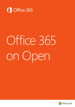

# Office 365 on Open

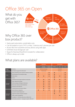## Office 365 on Open

What do you get with Office 365?



### Why Office 365 over box product?

- Yearly paid subscription, predictable costs
- Can be loaded on up to 5 PC's or Mac, 5 devices and 5 phones per user
- Access files from anywhere and any device using web apps
- Unlimited cloud storage per user
- Skype for Business/SharePoint included for collaboration
- Office is always up to date

### What plans are available?

|                             |                                                       | <b>Business</b>        |                                      | Enterprise                 |                |           |                |
|-----------------------------|-------------------------------------------------------|------------------------|--------------------------------------|----------------------------|----------------|-----------|----------------|
|                             |                                                       | <b>Business</b>        | <b>Business</b><br><b>Essentials</b> | <b>Business</b><br>Premium | <b>ProPlus</b> | E1        | E <sub>3</sub> |
| Target<br>Customer          | Seat Cap                                              | 300 (for each plan)    |                                      | Unlimited                  |                |           |                |
|                             | 24/7 phone support from Microsoft                     | <b>Critical issues</b> |                                      | All issues                 |                |           |                |
| Office                      | Word, PowerPoint, Excel, Outlook, OneNote, Publisher  | $\bullet$              |                                      | $\bullet$                  | $\bullet$      |           |                |
|                             | iPad, Windows RT & smartphone apps                    | $\bullet$              |                                      |                            |                |           |                |
|                             | Office Online                                         |                        |                                      |                            |                |           |                |
|                             | Access                                                |                        |                                      |                            |                |           |                |
| Standard<br><b>Services</b> | Unlimited cloud storage (OneDrive for Business)       |                        |                                      |                            |                |           |                |
|                             | Email, calendar (Exchange)                            |                        | $\bullet$                            | $\bullet$                  |                |           | $\bullet$      |
|                             | Online meetings, IM (Skype for Business)              |                        |                                      |                            |                |           |                |
|                             | Team sites, internal portals (SharePoint)             |                        |                                      |                            |                |           |                |
|                             | Enterprise social (Yammer)                            |                        |                                      |                            |                |           |                |
|                             | Content discovery and search (Delve)                  |                        |                                      |                            |                |           |                |
| Advanced<br><b>Services</b> | Active Directory integration                          | $\bullet$              | $\bullet$                            |                            | $\bullet$      |           |                |
|                             | Licensed for hybrid deployment                        |                        |                                      |                            |                |           |                |
|                             | Support for shared computer activation                |                        |                                      |                            |                |           |                |
|                             | Video content management                              |                        |                                      |                            |                | $\bullet$ |                |
|                             | Compliance - Archiving, eDiscovery, mailbox hold      |                        |                                      |                            |                |           |                |
|                             | Information protection - message encryption, RMS, DLP |                        |                                      |                            |                |           |                |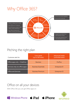## Why Office 365?



## Pitching the right plan

| Customer asks for:             | Core needs<br>(up to 300 seats) | <b>Advanced needs</b><br>(unlimited seats) |  |
|--------------------------------|---------------------------------|--------------------------------------------|--|
| Office apps only + OneDrive    | <b>Business</b>                 | <b>ProPlus</b>                             |  |
| Services only (no office apps) | <b>Business Essentials</b>      | <b>Enterprise E1</b>                       |  |
| Office and Services            | <b>Business Premium</b>         | <b>Enterprise E3</b>                       |  |

## Office on all your devices

 $\blacksquare$  Windows Phone  $\bullet$  iPad  $\bullet$  iPhone

With Office 365 you can get Office apps on: